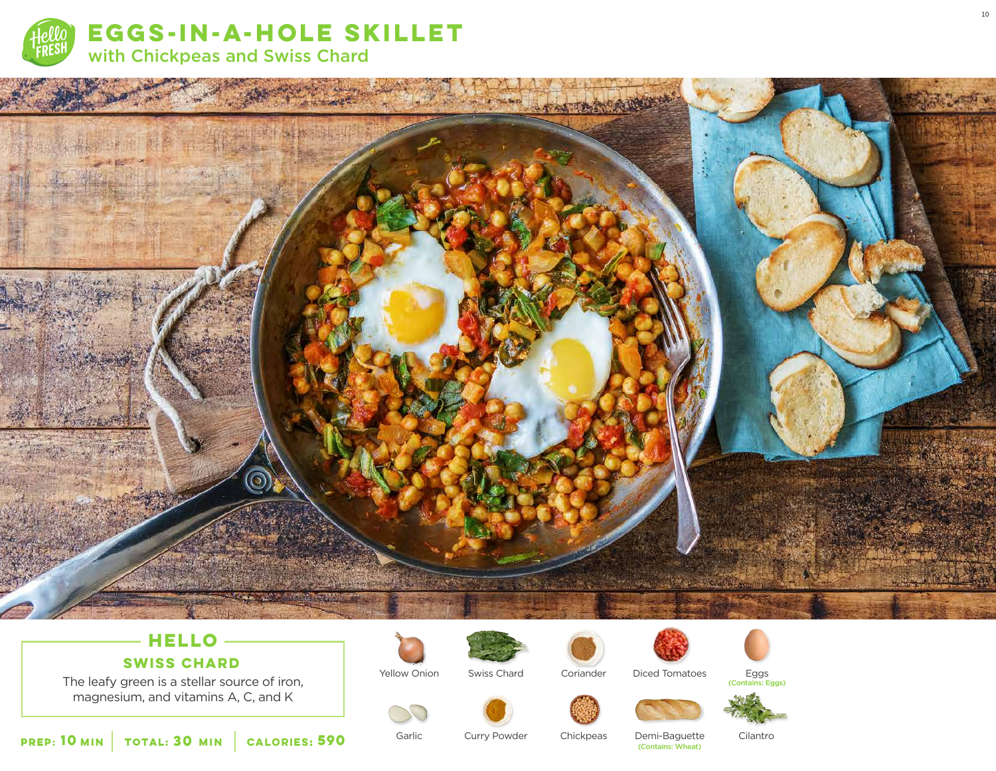



## **HELLO**

### **SWISS CHARD**

The leafy green is a stellar source of iron, magnesium, and vitamins A, C, and K





Swiss Chard



Diced Tomatoes

Eggs (Contains: Eggs)



Garlic

Yellow Onion

Curry Powder

Demi-Baguette<br>(Contains: Wheat) Chickpeas **<sup>590</sup>** (Contains: Wheat)

Coriander

Cilantro

10